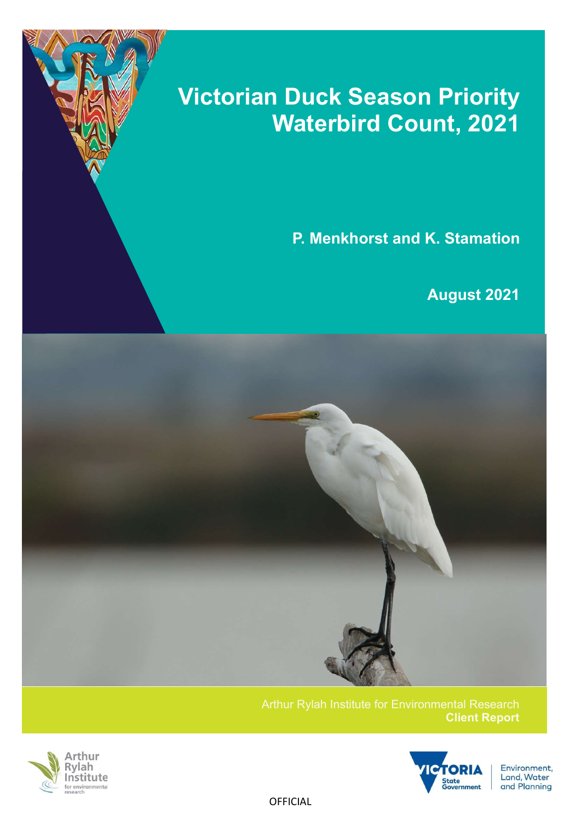# Victorian Duck Season Priority Waterbird Count, 2021

P. Menkhorst and K. Stamation

August 2021



Client Report



7



Environment, Land, Water and Planning

**OFFICIAL**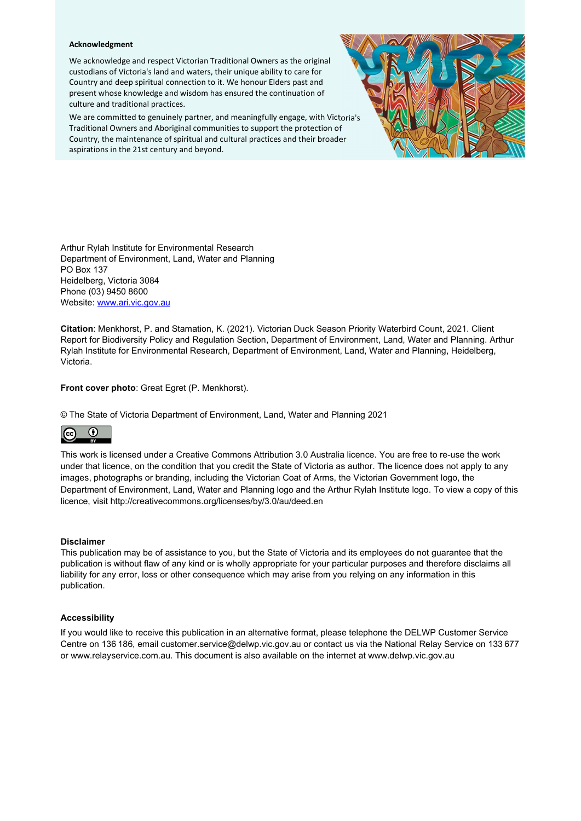#### Acknowledgment

We acknowledge and respect Victorian Traditional Owners as the original custodians of Victoria's land and waters, their unique ability to care for Country and deep spiritual connection to it. We honour Elders past and present whose knowledge and wisdom has ensured the continuation of culture and traditional practices.

We are committed to genuinely partner, and meaningfully engage, with Victoria's Traditional Owners and Aboriginal communities to support the protection of Country, the maintenance of spiritual and cultural practices and their broader aspirations in the 21st century and beyond.



Arthur Rylah Institute for Environmental Research Department of Environment, Land, Water and Planning PO Box 137 Heidelberg, Victoria 3084 Phone (03) 9450 8600 Website: www.ari.vic.gov.au

Citation: Menkhorst, P. and Stamation, K. (2021). Victorian Duck Season Priority Waterbird Count, 2021. Client Report for Biodiversity Policy and Regulation Section, Department of Environment, Land, Water and Planning. Arthur Rylah Institute for Environmental Research, Department of Environment, Land, Water and Planning, Heidelberg, Victoria.

Front cover photo: Great Egret (P. Menkhorst).

© The State of Victoria Department of Environment, Land, Water and Planning 2021



This work is licensed under a Creative Commons Attribution 3.0 Australia licence. You are free to re-use the work under that licence, on the condition that you credit the State of Victoria as author. The licence does not apply to any images, photographs or branding, including the Victorian Coat of Arms, the Victorian Government logo, the Department of Environment, Land, Water and Planning logo and the Arthur Rylah Institute logo. To view a copy of this licence, visit http://creativecommons.org/licenses/by/3.0/au/deed.en

#### Disclaimer

This publication may be of assistance to you, but the State of Victoria and its employees do not guarantee that the publication is without flaw of any kind or is wholly appropriate for your particular purposes and therefore disclaims all liability for any error, loss or other consequence which may arise from you relying on any information in this publication.

#### Accessibility

If you would like to receive this publication in an alternative format, please telephone the DELWP Customer Service Centre on 136 186, email customer.service@delwp.vic.gov.au or contact us via the National Relay Service on 133 677 or www.relayservice.com.au. This document is also available on the internet at www.delwp.vic.gov.au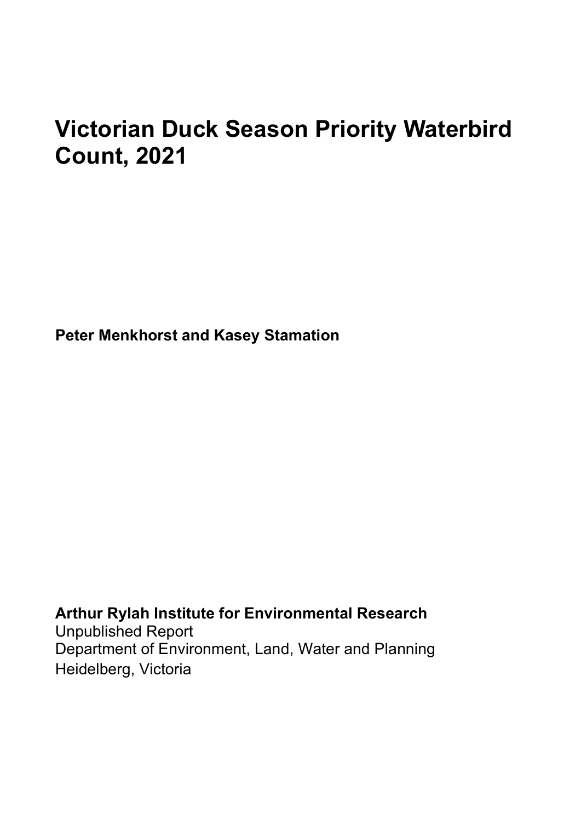# Victorian Duck Season Priority Waterbird Count, 2021

Peter Menkhorst and Kasey Stamation

Arthur Rylah Institute for Environmental Research Unpublished Report Department of Environment, Land, Water and Planning Heidelberg, Victoria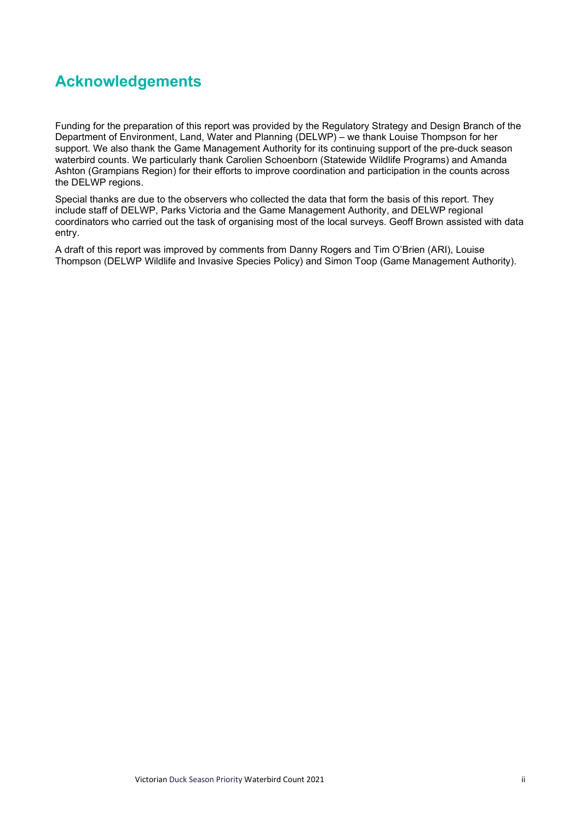## Acknowledgements

Funding for the preparation of this report was provided by the Regulatory Strategy and Design Branch of the Department of Environment, Land, Water and Planning (DELWP) – we thank Louise Thompson for her support. We also thank the Game Management Authority for its continuing support of the pre-duck season waterbird counts. We particularly thank Carolien Schoenborn (Statewide Wildlife Programs) and Amanda Ashton (Grampians Region) for their efforts to improve coordination and participation in the counts across the DELWP regions.

Special thanks are due to the observers who collected the data that form the basis of this report. They include staff of DELWP, Parks Victoria and the Game Management Authority, and DELWP regional coordinators who carried out the task of organising most of the local surveys. Geoff Brown assisted with data entry.

A draft of this report was improved by comments from Danny Rogers and Tim O'Brien (ARI), Louise Thompson (DELWP Wildlife and Invasive Species Policy) and Simon Toop (Game Management Authority).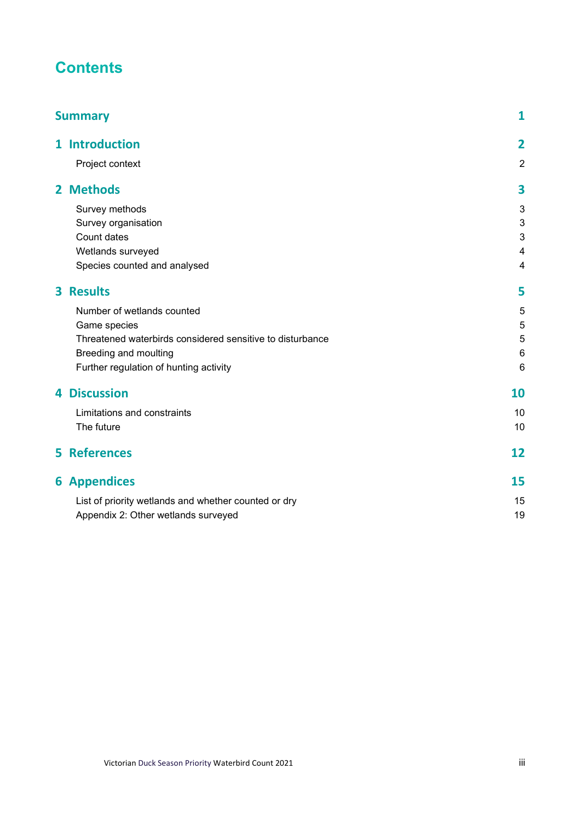## **Contents**

| <b>Summary</b>                                            | $\mathbf{1}$            |
|-----------------------------------------------------------|-------------------------|
| 1 Introduction                                            | $\overline{\mathbf{2}}$ |
| Project context                                           | $\overline{2}$          |
| 2 Methods                                                 | 3                       |
| Survey methods                                            | 3                       |
| Survey organisation                                       | 3                       |
| Count dates                                               | 3                       |
| Wetlands surveyed                                         | $\overline{4}$          |
| Species counted and analysed                              | $\overline{4}$          |
| <b>3 Results</b>                                          | 5                       |
| Number of wetlands counted                                | 5                       |
| Game species                                              | 5                       |
| Threatened waterbirds considered sensitive to disturbance | $\sqrt{5}$              |
| Breeding and moulting                                     | $6\phantom{1}6$         |
| Further regulation of hunting activity                    | 6                       |
| <b>4 Discussion</b>                                       | 10                      |
| Limitations and constraints                               | 10                      |
| The future                                                | 10                      |
| <b>5 References</b>                                       | 12                      |
| <b>6 Appendices</b>                                       | 15                      |
| List of priority wetlands and whether counted or dry      | 15                      |
| Appendix 2: Other wetlands surveyed                       | 19                      |
|                                                           |                         |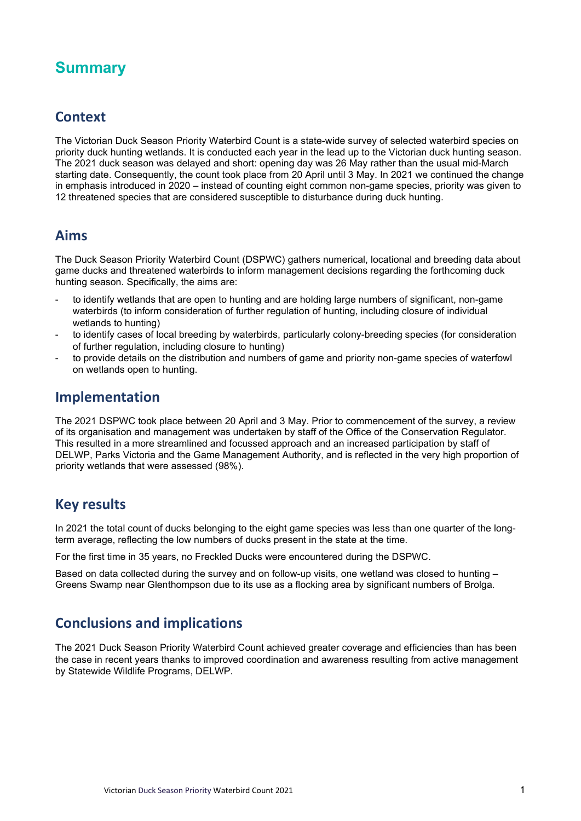## **Summary**

### **Context**

The Victorian Duck Season Priority Waterbird Count is a state-wide survey of selected waterbird species on priority duck hunting wetlands. It is conducted each year in the lead up to the Victorian duck hunting season. The 2021 duck season was delayed and short: opening day was 26 May rather than the usual mid-March starting date. Consequently, the count took place from 20 April until 3 May. In 2021 we continued the change in emphasis introduced in 2020 – instead of counting eight common non-game species, priority was given to 12 threatened species that are considered susceptible to disturbance during duck hunting.

### Aims

The Duck Season Priority Waterbird Count (DSPWC) gathers numerical, locational and breeding data about game ducks and threatened waterbirds to inform management decisions regarding the forthcoming duck hunting season. Specifically, the aims are:

- to identify wetlands that are open to hunting and are holding large numbers of significant, non-game waterbirds (to inform consideration of further regulation of hunting, including closure of individual wetlands to hunting)
- to identify cases of local breeding by waterbirds, particularly colony-breeding species (for consideration of further regulation, including closure to hunting)
- to provide details on the distribution and numbers of game and priority non-game species of waterfowl on wetlands open to hunting.

### Implementation

The 2021 DSPWC took place between 20 April and 3 May. Prior to commencement of the survey, a review of its organisation and management was undertaken by staff of the Office of the Conservation Regulator. This resulted in a more streamlined and focussed approach and an increased participation by staff of DELWP, Parks Victoria and the Game Management Authority, and is reflected in the very high proportion of priority wetlands that were assessed (98%).

### Key results

In 2021 the total count of ducks belonging to the eight game species was less than one quarter of the longterm average, reflecting the low numbers of ducks present in the state at the time.

For the first time in 35 years, no Freckled Ducks were encountered during the DSPWC.

Based on data collected during the survey and on follow-up visits, one wetland was closed to hunting – Greens Swamp near Glenthompson due to its use as a flocking area by significant numbers of Brolga.

### Conclusions and implications

The 2021 Duck Season Priority Waterbird Count achieved greater coverage and efficiencies than has been the case in recent years thanks to improved coordination and awareness resulting from active management by Statewide Wildlife Programs, DELWP.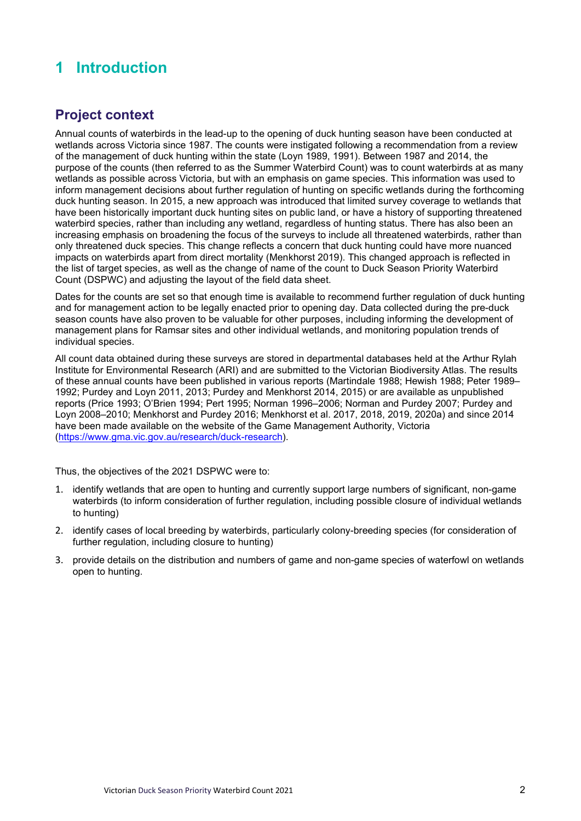## 1 Introduction

## Project context

Annual counts of waterbirds in the lead-up to the opening of duck hunting season have been conducted at wetlands across Victoria since 1987. The counts were instigated following a recommendation from a review of the management of duck hunting within the state (Loyn 1989, 1991). Between 1987 and 2014, the purpose of the counts (then referred to as the Summer Waterbird Count) was to count waterbirds at as many wetlands as possible across Victoria, but with an emphasis on game species. This information was used to inform management decisions about further regulation of hunting on specific wetlands during the forthcoming duck hunting season. In 2015, a new approach was introduced that limited survey coverage to wetlands that have been historically important duck hunting sites on public land, or have a history of supporting threatened waterbird species, rather than including any wetland, regardless of hunting status. There has also been an increasing emphasis on broadening the focus of the surveys to include all threatened waterbirds, rather than only threatened duck species. This change reflects a concern that duck hunting could have more nuanced impacts on waterbirds apart from direct mortality (Menkhorst 2019). This changed approach is reflected in the list of target species, as well as the change of name of the count to Duck Season Priority Waterbird Count (DSPWC) and adjusting the layout of the field data sheet.

Dates for the counts are set so that enough time is available to recommend further regulation of duck hunting and for management action to be legally enacted prior to opening day. Data collected during the pre-duck season counts have also proven to be valuable for other purposes, including informing the development of management plans for Ramsar sites and other individual wetlands, and monitoring population trends of individual species.

All count data obtained during these surveys are stored in departmental databases held at the Arthur Rylah Institute for Environmental Research (ARI) and are submitted to the Victorian Biodiversity Atlas. The results of these annual counts have been published in various reports (Martindale 1988; Hewish 1988; Peter 1989– 1992; Purdey and Loyn 2011, 2013; Purdey and Menkhorst 2014, 2015) or are available as unpublished reports (Price 1993; O'Brien 1994; Pert 1995; Norman 1996–2006; Norman and Purdey 2007; Purdey and Loyn 2008–2010; Menkhorst and Purdey 2016; Menkhorst et al. 2017, 2018, 2019, 2020a) and since 2014 have been made available on the website of the Game Management Authority, Victoria (https://www.gma.vic.gov.au/research/duck-research).

Thus, the objectives of the 2021 DSPWC were to:

- 1. identify wetlands that are open to hunting and currently support large numbers of significant, non-game waterbirds (to inform consideration of further regulation, including possible closure of individual wetlands to hunting)
- 2. identify cases of local breeding by waterbirds, particularly colony-breeding species (for consideration of further regulation, including closure to hunting)
- 3. provide details on the distribution and numbers of game and non-game species of waterfowl on wetlands open to hunting.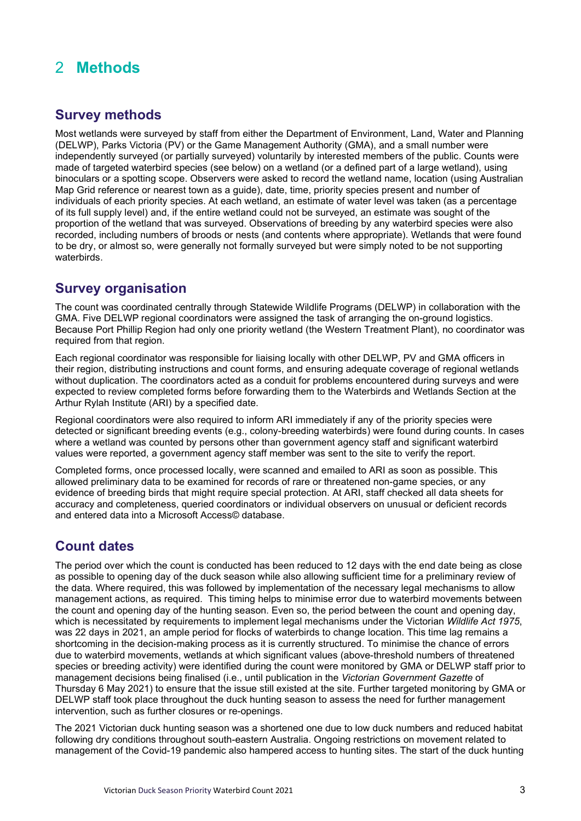## 2 Methods

### Survey methods

Most wetlands were surveyed by staff from either the Department of Environment, Land, Water and Planning (DELWP), Parks Victoria (PV) or the Game Management Authority (GMA), and a small number were independently surveyed (or partially surveyed) voluntarily by interested members of the public. Counts were made of targeted waterbird species (see below) on a wetland (or a defined part of a large wetland), using binoculars or a spotting scope. Observers were asked to record the wetland name, location (using Australian Map Grid reference or nearest town as a guide), date, time, priority species present and number of individuals of each priority species. At each wetland, an estimate of water level was taken (as a percentage of its full supply level) and, if the entire wetland could not be surveyed, an estimate was sought of the proportion of the wetland that was surveyed. Observations of breeding by any waterbird species were also recorded, including numbers of broods or nests (and contents where appropriate). Wetlands that were found to be dry, or almost so, were generally not formally surveyed but were simply noted to be not supporting waterbirds.

### Survey organisation

The count was coordinated centrally through Statewide Wildlife Programs (DELWP) in collaboration with the GMA. Five DELWP regional coordinators were assigned the task of arranging the on-ground logistics. Because Port Phillip Region had only one priority wetland (the Western Treatment Plant), no coordinator was required from that region.

Each regional coordinator was responsible for liaising locally with other DELWP, PV and GMA officers in their region, distributing instructions and count forms, and ensuring adequate coverage of regional wetlands without duplication. The coordinators acted as a conduit for problems encountered during surveys and were expected to review completed forms before forwarding them to the Waterbirds and Wetlands Section at the Arthur Rylah Institute (ARI) by a specified date.

Regional coordinators were also required to inform ARI immediately if any of the priority species were detected or significant breeding events (e.g., colony-breeding waterbirds) were found during counts. In cases where a wetland was counted by persons other than government agency staff and significant waterbird values were reported, a government agency staff member was sent to the site to verify the report.

Completed forms, once processed locally, were scanned and emailed to ARI as soon as possible. This allowed preliminary data to be examined for records of rare or threatened non-game species, or any evidence of breeding birds that might require special protection. At ARI, staff checked all data sheets for accuracy and completeness, queried coordinators or individual observers on unusual or deficient records and entered data into a Microsoft Access© database.

### Count dates

The period over which the count is conducted has been reduced to 12 days with the end date being as close as possible to opening day of the duck season while also allowing sufficient time for a preliminary review of the data. Where required, this was followed by implementation of the necessary legal mechanisms to allow management actions, as required. This timing helps to minimise error due to waterbird movements between the count and opening day of the hunting season. Even so, the period between the count and opening day, which is necessitated by requirements to implement legal mechanisms under the Victorian Wildlife Act 1975, was 22 days in 2021, an ample period for flocks of waterbirds to change location. This time lag remains a shortcoming in the decision-making process as it is currently structured. To minimise the chance of errors due to waterbird movements, wetlands at which significant values (above-threshold numbers of threatened species or breeding activity) were identified during the count were monitored by GMA or DELWP staff prior to management decisions being finalised (i.e., until publication in the Victorian Government Gazette of Thursday 6 May 2021) to ensure that the issue still existed at the site. Further targeted monitoring by GMA or DELWP staff took place throughout the duck hunting season to assess the need for further management intervention, such as further closures or re-openings.

The 2021 Victorian duck hunting season was a shortened one due to low duck numbers and reduced habitat following dry conditions throughout south-eastern Australia. Ongoing restrictions on movement related to management of the Covid-19 pandemic also hampered access to hunting sites. The start of the duck hunting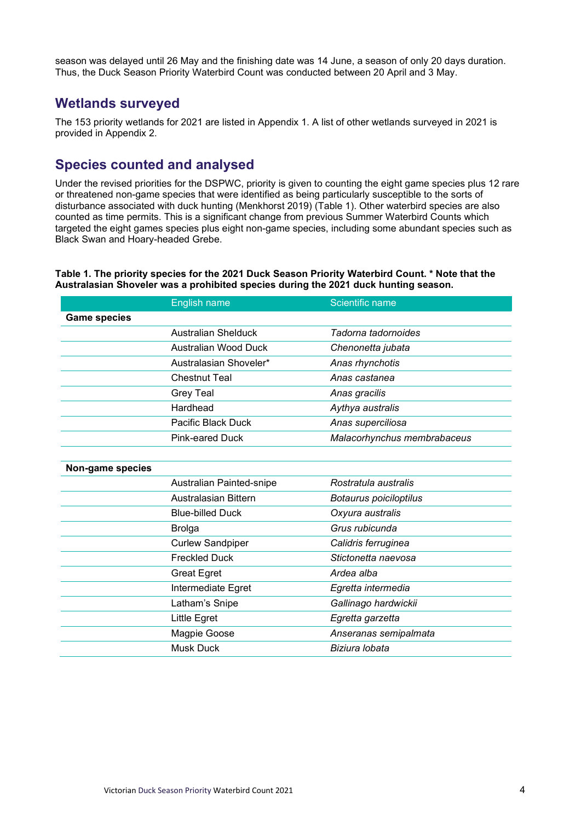season was delayed until 26 May and the finishing date was 14 June, a season of only 20 days duration. Thus, the Duck Season Priority Waterbird Count was conducted between 20 April and 3 May.

#### Wetlands surveyed

The 153 priority wetlands for 2021 are listed in Appendix 1. A list of other wetlands surveyed in 2021 is provided in Appendix 2.

### Species counted and analysed

Under the revised priorities for the DSPWC, priority is given to counting the eight game species plus 12 rare or threatened non-game species that were identified as being particularly susceptible to the sorts of disturbance associated with duck hunting (Menkhorst 2019) (Table 1). Other waterbird species are also counted as time permits. This is a significant change from previous Summer Waterbird Counts which targeted the eight games species plus eight non-game species, including some abundant species such as Black Swan and Hoary-headed Grebe.

Table 1. The priority species for the 2021 Duck Season Priority Waterbird Count. \* Note that the Australasian Shoveler was a prohibited species during the 2021 duck hunting season.

|                     | <b>English name</b>         | <b>Scientific name</b>      |
|---------------------|-----------------------------|-----------------------------|
| <b>Game species</b> |                             |                             |
|                     | <b>Australian Shelduck</b>  | Tadorna tadornoides         |
|                     | <b>Australian Wood Duck</b> | Chenonetta jubata           |
|                     | Australasian Shoveler*      | Anas rhynchotis             |
|                     | <b>Chestnut Teal</b>        | Anas castanea               |
|                     | <b>Grey Teal</b>            | Anas gracilis               |
|                     | Hardhead                    | Aythya australis            |
|                     | Pacific Black Duck          | Anas superciliosa           |
|                     | <b>Pink-eared Duck</b>      | Malacorhynchus membrabaceus |
|                     |                             |                             |
| Non-game species    |                             |                             |
|                     | Australian Painted-snipe    | Rostratula australis        |
|                     | <b>Australasian Bittern</b> | Botaurus poiciloptilus      |
|                     | <b>Blue-billed Duck</b>     | Oxyura australis            |
|                     | <b>Brolga</b>               | Grus rubicunda              |
|                     | <b>Curlew Sandpiper</b>     | Calidris ferruginea         |
|                     | <b>Freckled Duck</b>        | Stictonetta naevosa         |
|                     | <b>Great Egret</b>          | Ardea alba                  |
|                     | Intermediate Egret          | Egretta intermedia          |
|                     | Latham's Snipe              | Gallinago hardwickii        |
|                     | Little Egret                | Egretta garzetta            |
|                     | Magpie Goose                | Anseranas semipalmata       |
|                     | <b>Musk Duck</b>            | Biziura lobata              |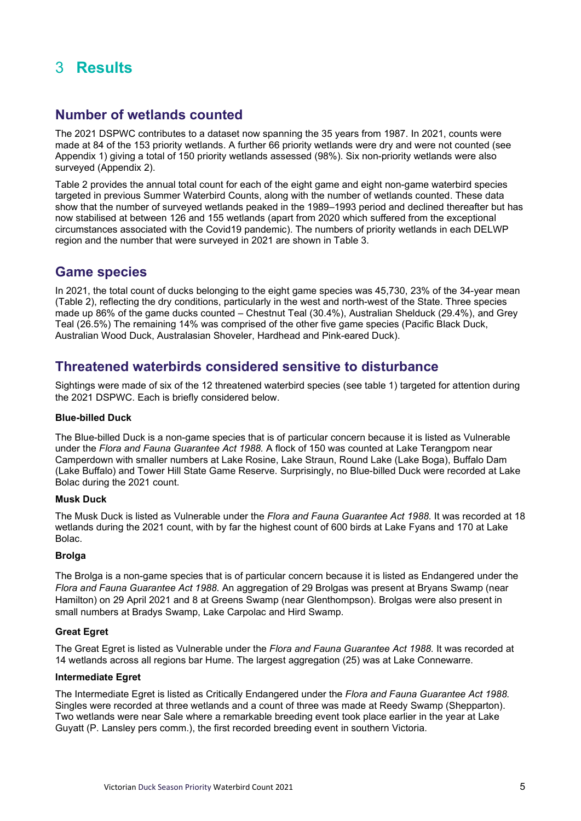## 3 Results

### Number of wetlands counted

The 2021 DSPWC contributes to a dataset now spanning the 35 years from 1987. In 2021, counts were made at 84 of the 153 priority wetlands. A further 66 priority wetlands were dry and were not counted (see Appendix 1) giving a total of 150 priority wetlands assessed (98%). Six non-priority wetlands were also surveyed (Appendix 2).

Table 2 provides the annual total count for each of the eight game and eight non-game waterbird species targeted in previous Summer Waterbird Counts, along with the number of wetlands counted. These data show that the number of surveyed wetlands peaked in the 1989–1993 period and declined thereafter but has now stabilised at between 126 and 155 wetlands (apart from 2020 which suffered from the exceptional circumstances associated with the Covid19 pandemic). The numbers of priority wetlands in each DELWP region and the number that were surveyed in 2021 are shown in Table 3.

#### Game species

In 2021, the total count of ducks belonging to the eight game species was 45,730, 23% of the 34-year mean (Table 2), reflecting the dry conditions, particularly in the west and north-west of the State. Three species made up 86% of the game ducks counted – Chestnut Teal (30.4%), Australian Shelduck (29.4%), and Grey Teal (26.5%) The remaining 14% was comprised of the other five game species (Pacific Black Duck, Australian Wood Duck, Australasian Shoveler, Hardhead and Pink-eared Duck).

### Threatened waterbirds considered sensitive to disturbance

Sightings were made of six of the 12 threatened waterbird species (see table 1) targeted for attention during the 2021 DSPWC. Each is briefly considered below.

#### Blue-billed Duck

The Blue-billed Duck is a non-game species that is of particular concern because it is listed as Vulnerable under the Flora and Fauna Guarantee Act 1988. A flock of 150 was counted at Lake Terangpom near Camperdown with smaller numbers at Lake Rosine, Lake Straun, Round Lake (Lake Boga), Buffalo Dam (Lake Buffalo) and Tower Hill State Game Reserve. Surprisingly, no Blue-billed Duck were recorded at Lake Bolac during the 2021 count.

#### Musk Duck

The Musk Duck is listed as Vulnerable under the Flora and Fauna Guarantee Act 1988. It was recorded at 18 wetlands during the 2021 count, with by far the highest count of 600 birds at Lake Fyans and 170 at Lake Bolac.

#### Brolga

The Brolga is a non-game species that is of particular concern because it is listed as Endangered under the Flora and Fauna Guarantee Act 1988. An aggregation of 29 Brolgas was present at Bryans Swamp (near Hamilton) on 29 April 2021 and 8 at Greens Swamp (near Glenthompson). Brolgas were also present in small numbers at Bradys Swamp, Lake Carpolac and Hird Swamp.

#### Great Egret

The Great Egret is listed as Vulnerable under the Flora and Fauna Guarantee Act 1988. It was recorded at 14 wetlands across all regions bar Hume. The largest aggregation (25) was at Lake Connewarre.

#### Intermediate Egret

The Intermediate Egret is listed as Critically Endangered under the Flora and Fauna Guarantee Act 1988. Singles were recorded at three wetlands and a count of three was made at Reedy Swamp (Shepparton). Two wetlands were near Sale where a remarkable breeding event took place earlier in the year at Lake Guyatt (P. Lansley pers comm.), the first recorded breeding event in southern Victoria.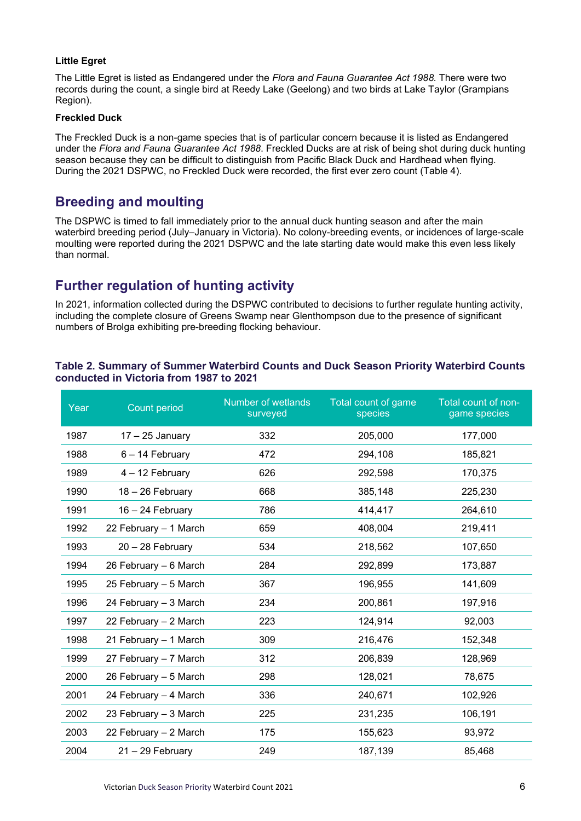#### Little Egret

The Little Egret is listed as Endangered under the Flora and Fauna Guarantee Act 1988. There were two records during the count, a single bird at Reedy Lake (Geelong) and two birds at Lake Taylor (Grampians Region).

#### Freckled Duck

The Freckled Duck is a non-game species that is of particular concern because it is listed as Endangered under the Flora and Fauna Guarantee Act 1988. Freckled Ducks are at risk of being shot during duck hunting season because they can be difficult to distinguish from Pacific Black Duck and Hardhead when flying. During the 2021 DSPWC, no Freckled Duck were recorded, the first ever zero count (Table 4).

### Breeding and moulting

The DSPWC is timed to fall immediately prior to the annual duck hunting season and after the main waterbird breeding period (July–January in Victoria). No colony-breeding events, or incidences of large-scale moulting were reported during the 2021 DSPWC and the late starting date would make this even less likely than normal.

### Further regulation of hunting activity

In 2021, information collected during the DSPWC contributed to decisions to further regulate hunting activity, including the complete closure of Greens Swamp near Glenthompson due to the presence of significant numbers of Brolga exhibiting pre-breeding flocking behaviour.

#### Table 2. Summary of Summer Waterbird Counts and Duck Season Priority Waterbird Counts conducted in Victoria from 1987 to 2021

| Year | <b>Count period</b>   | Number of wetlands<br>surveyed | Total count of game<br>species | Total count of non-<br>game species |
|------|-----------------------|--------------------------------|--------------------------------|-------------------------------------|
| 1987 | $17 - 25$ January     | 332                            | 205,000                        | 177,000                             |
| 1988 | $6 - 14$ February     | 472                            | 294,108                        | 185,821                             |
| 1989 | 4 - 12 February       | 626                            | 292,598                        | 170,375                             |
| 1990 | 18 - 26 February      | 668                            | 385,148                        | 225,230                             |
| 1991 | 16 - 24 February      | 786                            | 414,417                        | 264,610                             |
| 1992 | 22 February - 1 March | 659                            | 408,004                        | 219,411                             |
| 1993 | 20 - 28 February      | 534                            | 218,562                        | 107,650                             |
| 1994 | 26 February - 6 March | 284                            | 292,899                        | 173,887                             |
| 1995 | 25 February - 5 March | 367                            | 196,955                        | 141,609                             |
| 1996 | 24 February - 3 March | 234                            | 200,861                        | 197,916                             |
| 1997 | 22 February - 2 March | 223                            | 124,914                        | 92,003                              |
| 1998 | 21 February - 1 March | 309                            | 216,476                        | 152,348                             |
| 1999 | 27 February - 7 March | 312                            | 206,839                        | 128,969                             |
| 2000 | 26 February - 5 March | 298                            | 128,021                        | 78,675                              |
| 2001 | 24 February - 4 March | 336                            | 240,671                        | 102,926                             |
| 2002 | 23 February - 3 March | 225                            | 231,235                        | 106,191                             |
| 2003 | 22 February - 2 March | 175                            | 155,623                        | 93,972                              |
| 2004 | $21 - 29$ February    | 249                            | 187,139                        | 85,468                              |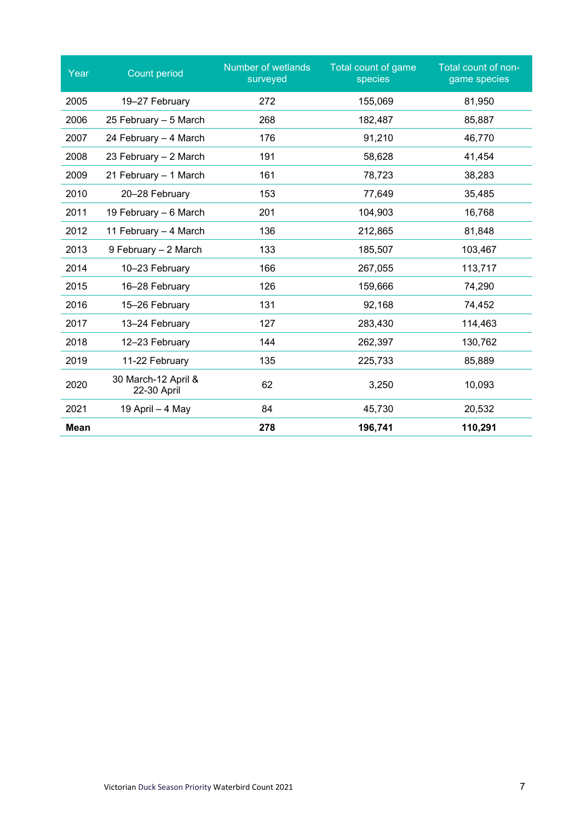| Year        | Count period                       | Number of wetlands<br>surveyed | <b>Total count of game</b><br>species | Total count of non-<br>game species |
|-------------|------------------------------------|--------------------------------|---------------------------------------|-------------------------------------|
| 2005        | 19-27 February                     | 272                            | 155,069                               | 81,950                              |
| 2006        | 25 February - 5 March              | 268                            | 182,487                               | 85,887                              |
| 2007        | 24 February - 4 March              | 176                            | 91,210                                | 46,770                              |
| 2008        | 23 February - 2 March              | 191                            | 58,628                                | 41,454                              |
| 2009        | 21 February - 1 March              | 161                            | 78,723                                | 38,283                              |
| 2010        | 20-28 February                     | 153                            | 77,649                                | 35,485                              |
| 2011        | 19 February - 6 March              | 201                            | 104,903                               | 16,768                              |
| 2012        | 11 February - 4 March              | 136                            | 212,865                               | 81,848                              |
| 2013        | 9 February - 2 March               | 133                            | 185,507                               | 103,467                             |
| 2014        | 10-23 February                     | 166                            | 267,055                               | 113,717                             |
| 2015        | 16-28 February                     | 126                            | 159,666                               | 74,290                              |
| 2016        | 15-26 February                     | 131                            | 92,168                                | 74,452                              |
| 2017        | 13-24 February                     | 127                            | 283,430                               | 114,463                             |
| 2018        | 12-23 February                     | 144                            | 262,397                               | 130,762                             |
| 2019        | 11-22 February                     | 135                            | 225,733                               | 85,889                              |
| 2020        | 30 March-12 April &<br>22-30 April | 62                             | 3,250                                 | 10,093                              |
| 2021        | 19 April - 4 May                   | 84                             | 45,730                                | 20,532                              |
| <b>Mean</b> |                                    | 278                            | 196,741                               | 110,291                             |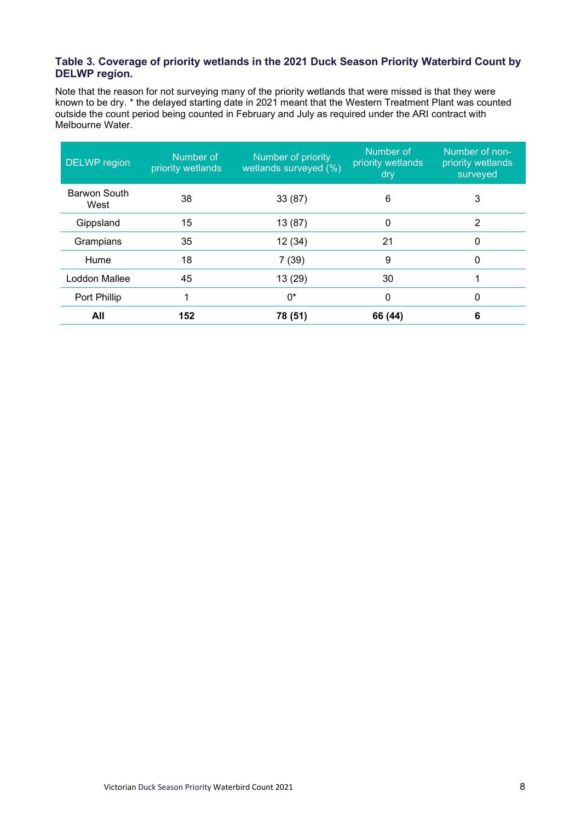#### Table 3. Coverage of priority wetlands in the 2021 Duck Season Priority Waterbird Count by DELWP region.

Note that the reason for not surveying many of the priority wetlands that were missed is that they were known to be dry. \* the delayed starting date in 2021 meant that the Western Treatment Plant was counted outside the count period being counted in February and July as required under the ARI contract with Melbourne Water.

| DELWP region                | Number of<br>priority wetlands | Number of priority<br>wetlands surveyed (%) | Number of<br>priority wetlands<br>dry | Number of non-<br>priority wetlands<br>surveyed |
|-----------------------------|--------------------------------|---------------------------------------------|---------------------------------------|-------------------------------------------------|
| <b>Barwon South</b><br>West | 38                             | 33(87)                                      | 6                                     | 3                                               |
| Gippsland                   | 15                             | 13 (87)                                     | 0                                     | 2                                               |
| Grampians                   | 35                             | 12 (34)                                     | 21                                    | 0                                               |
| Hume                        | 18                             | 7(39)                                       | 9                                     | 0                                               |
| Loddon Mallee               | 45                             | 13 (29)                                     | 30                                    |                                                 |
| Port Phillip                | 1                              | 0*                                          | 0                                     | 0                                               |
| All                         | 152                            | 78 (51)                                     | 66 (44)                               | 6                                               |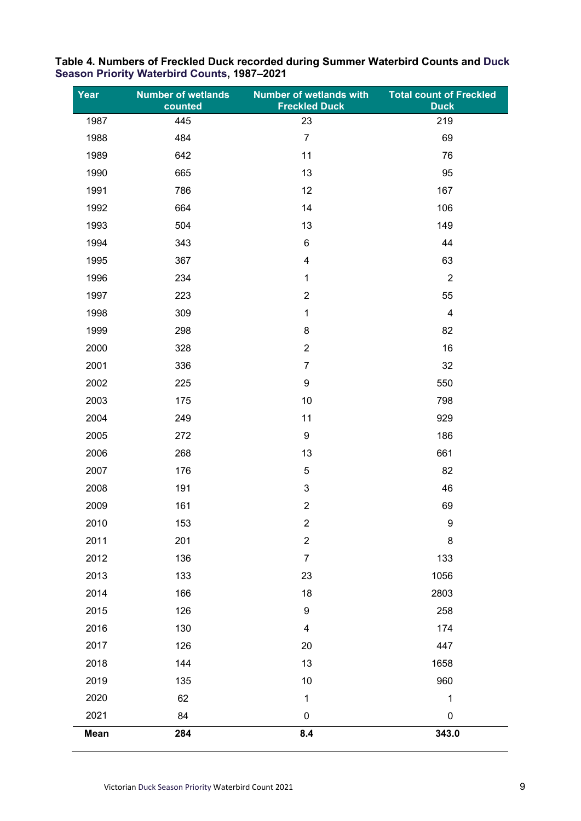| Year | <b>Number of wetlands</b><br>counted | <b>Number of wetlands with</b><br><b>Freckled Duck</b> | <b>Total count of Freckled</b><br><b>Duck</b> |
|------|--------------------------------------|--------------------------------------------------------|-----------------------------------------------|
| 1987 | 445                                  | 23                                                     | 219                                           |
| 1988 | 484                                  | $\overline{7}$                                         | 69                                            |
| 1989 | 642                                  | 11                                                     | 76                                            |
| 1990 | 665                                  | 13                                                     | 95                                            |
| 1991 | 786                                  | 12                                                     | 167                                           |
| 1992 | 664                                  | 14                                                     | 106                                           |
| 1993 | 504                                  | 13                                                     | 149                                           |
| 1994 | 343                                  | $\,6\,$                                                | 44                                            |
| 1995 | 367                                  | $\overline{\mathbf{4}}$                                | 63                                            |
| 1996 | 234                                  | 1                                                      | $\overline{2}$                                |
| 1997 | 223                                  | $\overline{2}$                                         | 55                                            |
| 1998 | 309                                  | 1                                                      | $\overline{\mathbf{4}}$                       |
| 1999 | 298                                  | $\bf 8$                                                | 82                                            |
| 2000 | 328                                  | $\overline{2}$                                         | 16                                            |
| 2001 | 336                                  | $\overline{7}$                                         | 32                                            |
| 2002 | 225                                  | $\boldsymbol{9}$                                       | 550                                           |
| 2003 | 175                                  | 10                                                     | 798                                           |
| 2004 | 249                                  | 11                                                     | 929                                           |
| 2005 | 272                                  | $\boldsymbol{9}$                                       | 186                                           |
| 2006 | 268                                  | 13                                                     | 661                                           |
| 2007 | 176                                  | $\sqrt{5}$                                             | 82                                            |
| 2008 | 191                                  | $\mathbf{3}$                                           | 46                                            |
| 2009 | 161                                  | $\boldsymbol{2}$                                       | 69                                            |
| 2010 | 153                                  | $\overline{2}$                                         | 9                                             |
| 2011 | 201                                  | $\overline{2}$                                         | 8                                             |
| 2012 | 136                                  | $\overline{7}$                                         | 133                                           |
| 2013 | 133                                  | 23                                                     | 1056                                          |
| 2014 | 166                                  | 18                                                     | 2803                                          |
| 2015 | 126                                  | $\boldsymbol{9}$                                       | 258                                           |
| 2016 | 130                                  | $\overline{\mathbf{4}}$                                | 174                                           |
| 2017 | 126                                  | 20                                                     | 447                                           |
| 2018 | 144                                  | 13                                                     | 1658                                          |
| 2019 | 135                                  | 10                                                     | 960                                           |
| 2020 | 62                                   | $\mathbf{1}$                                           | $\mathbf{1}$                                  |
| 2021 | 84                                   | 0                                                      | $\pmb{0}$                                     |
| Mean | 284                                  | 8.4                                                    | 343.0                                         |

#### Table 4. Numbers of Freckled Duck recorded during Summer Waterbird Counts and Duck Season Priority Waterbird Counts, 1987–2021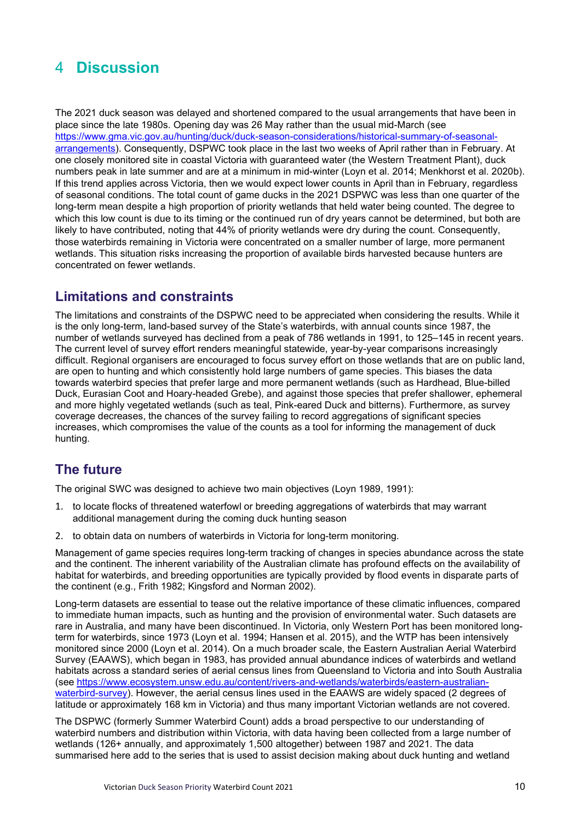## 4 Discussion

The 2021 duck season was delayed and shortened compared to the usual arrangements that have been in place since the late 1980s. Opening day was 26 May rather than the usual mid-March (see https://www.gma.vic.gov.au/hunting/duck/duck-season-considerations/historical-summary-of-seasonalarrangements). Consequently, DSPWC took place in the last two weeks of April rather than in February. At one closely monitored site in coastal Victoria with guaranteed water (the Western Treatment Plant), duck numbers peak in late summer and are at a minimum in mid-winter (Loyn et al. 2014; Menkhorst et al. 2020b). If this trend applies across Victoria, then we would expect lower counts in April than in February, regardless of seasonal conditions. The total count of game ducks in the 2021 DSPWC was less than one quarter of the long-term mean despite a high proportion of priority wetlands that held water being counted. The degree to which this low count is due to its timing or the continued run of dry years cannot be determined, but both are likely to have contributed, noting that 44% of priority wetlands were dry during the count. Consequently, those waterbirds remaining in Victoria were concentrated on a smaller number of large, more permanent wetlands. This situation risks increasing the proportion of available birds harvested because hunters are concentrated on fewer wetlands.

### Limitations and constraints

The limitations and constraints of the DSPWC need to be appreciated when considering the results. While it is the only long-term, land-based survey of the State's waterbirds, with annual counts since 1987, the number of wetlands surveyed has declined from a peak of 786 wetlands in 1991, to 125–145 in recent years. The current level of survey effort renders meaningful statewide, year-by-year comparisons increasingly difficult. Regional organisers are encouraged to focus survey effort on those wetlands that are on public land, are open to hunting and which consistently hold large numbers of game species. This biases the data towards waterbird species that prefer large and more permanent wetlands (such as Hardhead, Blue-billed Duck, Eurasian Coot and Hoary-headed Grebe), and against those species that prefer shallower, ephemeral and more highly vegetated wetlands (such as teal, Pink-eared Duck and bitterns). Furthermore, as survey coverage decreases, the chances of the survey failing to record aggregations of significant species increases, which compromises the value of the counts as a tool for informing the management of duck hunting.

## The future

The original SWC was designed to achieve two main objectives (Loyn 1989, 1991):

- 1. to locate flocks of threatened waterfowl or breeding aggregations of waterbirds that may warrant additional management during the coming duck hunting season
- 2. to obtain data on numbers of waterbirds in Victoria for long-term monitoring.

Management of game species requires long-term tracking of changes in species abundance across the state and the continent. The inherent variability of the Australian climate has profound effects on the availability of habitat for waterbirds, and breeding opportunities are typically provided by flood events in disparate parts of the continent (e.g., Frith 1982; Kingsford and Norman 2002).

Long-term datasets are essential to tease out the relative importance of these climatic influences, compared to immediate human impacts, such as hunting and the provision of environmental water. Such datasets are rare in Australia, and many have been discontinued. In Victoria, only Western Port has been monitored longterm for waterbirds, since 1973 (Loyn et al. 1994; Hansen et al. 2015), and the WTP has been intensively monitored since 2000 (Loyn et al. 2014). On a much broader scale, the Eastern Australian Aerial Waterbird Survey (EAAWS), which began in 1983, has provided annual abundance indices of waterbirds and wetland habitats across a standard series of aerial census lines from Queensland to Victoria and into South Australia (see https://www.ecosystem.unsw.edu.au/content/rivers-and-wetlands/waterbirds/eastern-australianwaterbird-survey). However, the aerial census lines used in the EAAWS are widely spaced (2 degrees of latitude or approximately 168 km in Victoria) and thus many important Victorian wetlands are not covered.

The DSPWC (formerly Summer Waterbird Count) adds a broad perspective to our understanding of waterbird numbers and distribution within Victoria, with data having been collected from a large number of wetlands (126+ annually, and approximately 1,500 altogether) between 1987 and 2021. The data summarised here add to the series that is used to assist decision making about duck hunting and wetland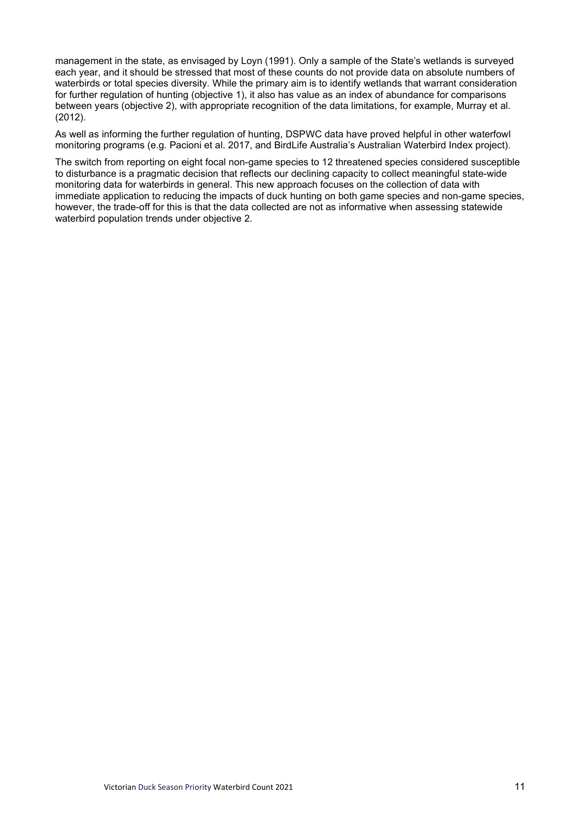management in the state, as envisaged by Loyn (1991). Only a sample of the State's wetlands is surveyed each year, and it should be stressed that most of these counts do not provide data on absolute numbers of waterbirds or total species diversity. While the primary aim is to identify wetlands that warrant consideration for further regulation of hunting (objective 1), it also has value as an index of abundance for comparisons between years (objective 2), with appropriate recognition of the data limitations, for example, Murray et al. (2012).

As well as informing the further regulation of hunting, DSPWC data have proved helpful in other waterfowl monitoring programs (e.g. Pacioni et al. 2017, and BirdLife Australia's Australian Waterbird Index project).

The switch from reporting on eight focal non-game species to 12 threatened species considered susceptible to disturbance is a pragmatic decision that reflects our declining capacity to collect meaningful state-wide monitoring data for waterbirds in general. This new approach focuses on the collection of data with immediate application to reducing the impacts of duck hunting on both game species and non-game species, however, the trade-off for this is that the data collected are not as informative when assessing statewide waterbird population trends under objective 2.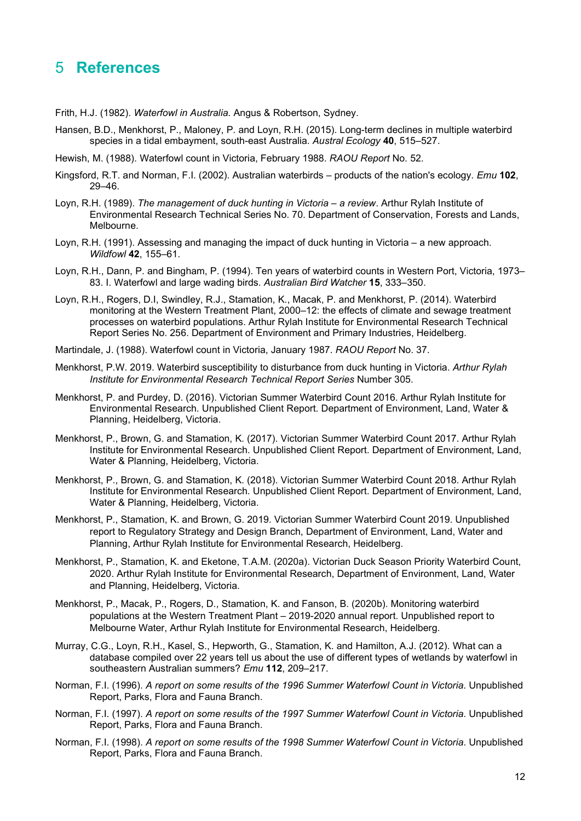## 5 References

Frith, H.J. (1982). Waterfowl in Australia. Angus & Robertson, Sydney.

- Hansen, B.D., Menkhorst, P., Maloney, P. and Loyn, R.H. (2015). Long-term declines in multiple waterbird species in a tidal embayment, south-east Australia. Austral Ecology 40, 515–527.
- Hewish, M. (1988). Waterfowl count in Victoria, February 1988. RAOU Report No. 52.
- Kingsford, R.T. and Norman, F.I. (2002). Australian waterbirds products of the nation's ecology. *Emu* 102, 29–46.
- Loyn, R.H. (1989). The management of duck hunting in Victoria a review. Arthur Rylah Institute of Environmental Research Technical Series No. 70. Department of Conservation, Forests and Lands, Melbourne.
- Loyn, R.H. (1991). Assessing and managing the impact of duck hunting in Victoria a new approach. Wildfowl 42, 155–61.
- Loyn, R.H., Dann, P. and Bingham, P. (1994). Ten years of waterbird counts in Western Port, Victoria, 1973– 83. I. Waterfowl and large wading birds. Australian Bird Watcher 15, 333–350.
- Loyn, R.H., Rogers, D.I, Swindley, R.J., Stamation, K., Macak, P. and Menkhorst, P. (2014). Waterbird monitoring at the Western Treatment Plant, 2000–12: the effects of climate and sewage treatment processes on waterbird populations. Arthur Rylah Institute for Environmental Research Technical Report Series No. 256. Department of Environment and Primary Industries, Heidelberg.
- Martindale, J. (1988). Waterfowl count in Victoria, January 1987. RAOU Report No. 37.
- Menkhorst, P.W. 2019. Waterbird susceptibility to disturbance from duck hunting in Victoria. Arthur Rylah Institute for Environmental Research Technical Report Series Number 305.
- Menkhorst, P. and Purdey, D. (2016). Victorian Summer Waterbird Count 2016. Arthur Rylah Institute for Environmental Research. Unpublished Client Report. Department of Environment, Land, Water & Planning, Heidelberg, Victoria.
- Menkhorst, P., Brown, G. and Stamation, K. (2017). Victorian Summer Waterbird Count 2017. Arthur Rylah Institute for Environmental Research. Unpublished Client Report. Department of Environment, Land, Water & Planning, Heidelberg, Victoria.
- Menkhorst, P., Brown, G. and Stamation, K. (2018). Victorian Summer Waterbird Count 2018. Arthur Rylah Institute for Environmental Research. Unpublished Client Report. Department of Environment, Land, Water & Planning, Heidelberg, Victoria.
- Menkhorst, P., Stamation, K. and Brown, G. 2019. Victorian Summer Waterbird Count 2019. Unpublished report to Regulatory Strategy and Design Branch, Department of Environment, Land, Water and Planning, Arthur Rylah Institute for Environmental Research, Heidelberg.
- Menkhorst, P., Stamation, K. and Eketone, T.A.M. (2020a). Victorian Duck Season Priority Waterbird Count, 2020. Arthur Rylah Institute for Environmental Research, Department of Environment, Land, Water and Planning, Heidelberg, Victoria.
- Menkhorst, P., Macak, P., Rogers, D., Stamation, K. and Fanson, B. (2020b). Monitoring waterbird populations at the Western Treatment Plant – 2019-2020 annual report. Unpublished report to Melbourne Water, Arthur Rylah Institute for Environmental Research, Heidelberg.
- Murray, C.G., Loyn, R.H., Kasel, S., Hepworth, G., Stamation, K. and Hamilton, A.J. (2012). What can a database compiled over 22 years tell us about the use of different types of wetlands by waterfowl in southeastern Australian summers? Emu 112, 209–217.
- Norman, F.I. (1996). A report on some results of the 1996 Summer Waterfowl Count in Victoria. Unpublished Report, Parks, Flora and Fauna Branch.
- Norman, F.I. (1997). A report on some results of the 1997 Summer Waterfowl Count in Victoria. Unpublished Report, Parks, Flora and Fauna Branch.
- Norman, F.I. (1998). A report on some results of the 1998 Summer Waterfowl Count in Victoria. Unpublished Report, Parks, Flora and Fauna Branch.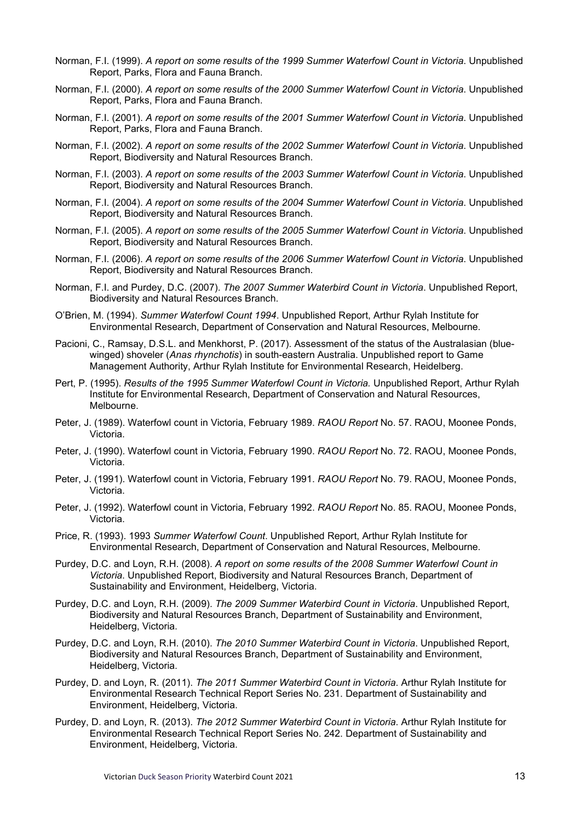- Norman, F.I. (1999). A report on some results of the 1999 Summer Waterfowl Count in Victoria. Unpublished Report, Parks, Flora and Fauna Branch.
- Norman, F.I. (2000). A report on some results of the 2000 Summer Waterfowl Count in Victoria. Unpublished Report, Parks, Flora and Fauna Branch.
- Norman, F.I. (2001). A report on some results of the 2001 Summer Waterfowl Count in Victoria. Unpublished Report, Parks, Flora and Fauna Branch.
- Norman, F.I. (2002). A report on some results of the 2002 Summer Waterfowl Count in Victoria. Unpublished Report, Biodiversity and Natural Resources Branch.
- Norman, F.I. (2003). A report on some results of the 2003 Summer Waterfowl Count in Victoria. Unpublished Report, Biodiversity and Natural Resources Branch.
- Norman, F.I. (2004). A report on some results of the 2004 Summer Waterfowl Count in Victoria. Unpublished Report, Biodiversity and Natural Resources Branch.
- Norman, F.I. (2005). A report on some results of the 2005 Summer Waterfowl Count in Victoria. Unpublished Report, Biodiversity and Natural Resources Branch.
- Norman, F.I. (2006). A report on some results of the 2006 Summer Waterfowl Count in Victoria. Unpublished Report, Biodiversity and Natural Resources Branch.
- Norman, F.I. and Purdey, D.C. (2007). The 2007 Summer Waterbird Count in Victoria. Unpublished Report, Biodiversity and Natural Resources Branch.
- O'Brien, M. (1994). Summer Waterfowl Count 1994. Unpublished Report, Arthur Rylah Institute for Environmental Research, Department of Conservation and Natural Resources, Melbourne.
- Pacioni, C., Ramsay, D.S.L. and Menkhorst, P. (2017). Assessment of the status of the Australasian (bluewinged) shoveler (Anas rhynchotis) in south-eastern Australia. Unpublished report to Game Management Authority, Arthur Rylah Institute for Environmental Research, Heidelberg.
- Pert, P. (1995). Results of the 1995 Summer Waterfowl Count in Victoria. Unpublished Report, Arthur Rylah Institute for Environmental Research, Department of Conservation and Natural Resources, Melbourne.
- Peter, J. (1989). Waterfowl count in Victoria, February 1989. RAOU Report No. 57. RAOU, Moonee Ponds, Victoria.
- Peter, J. (1990). Waterfowl count in Victoria, February 1990. RAOU Report No. 72. RAOU, Moonee Ponds, Victoria.
- Peter, J. (1991). Waterfowl count in Victoria, February 1991, RAOU Report No. 79, RAOU, Moonee Ponds, Victoria.
- Peter, J. (1992). Waterfowl count in Victoria, February 1992. RAOU Report No. 85. RAOU, Moonee Ponds, Victoria.
- Price, R. (1993). 1993 Summer Waterfowl Count. Unpublished Report, Arthur Rylah Institute for Environmental Research, Department of Conservation and Natural Resources, Melbourne.
- Purdey, D.C. and Loyn, R.H. (2008). A report on some results of the 2008 Summer Waterfowl Count in Victoria. Unpublished Report, Biodiversity and Natural Resources Branch, Department of Sustainability and Environment, Heidelberg, Victoria.
- Purdey, D.C. and Loyn, R.H. (2009). The 2009 Summer Waterbird Count in Victoria. Unpublished Report, Biodiversity and Natural Resources Branch, Department of Sustainability and Environment, Heidelberg, Victoria.
- Purdey, D.C. and Loyn, R.H. (2010). The 2010 Summer Waterbird Count in Victoria. Unpublished Report, Biodiversity and Natural Resources Branch, Department of Sustainability and Environment, Heidelberg, Victoria.
- Purdey, D. and Loyn, R. (2011). The 2011 Summer Waterbird Count in Victoria. Arthur Rylah Institute for Environmental Research Technical Report Series No. 231. Department of Sustainability and Environment, Heidelberg, Victoria.
- Purdey, D. and Loyn, R. (2013). The 2012 Summer Waterbird Count in Victoria. Arthur Rylah Institute for Environmental Research Technical Report Series No. 242. Department of Sustainability and Environment, Heidelberg, Victoria.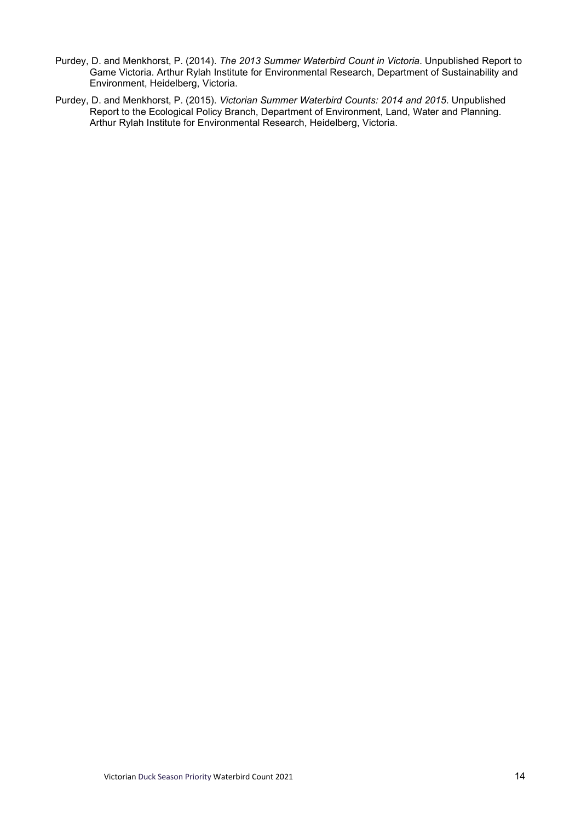- Purdey, D. and Menkhorst, P. (2014). The 2013 Summer Waterbird Count in Victoria. Unpublished Report to Game Victoria. Arthur Rylah Institute for Environmental Research, Department of Sustainability and Environment, Heidelberg, Victoria.
- Purdey, D. and Menkhorst, P. (2015). Victorian Summer Waterbird Counts: 2014 and 2015. Unpublished Report to the Ecological Policy Branch, Department of Environment, Land, Water and Planning. Arthur Rylah Institute for Environmental Research, Heidelberg, Victoria.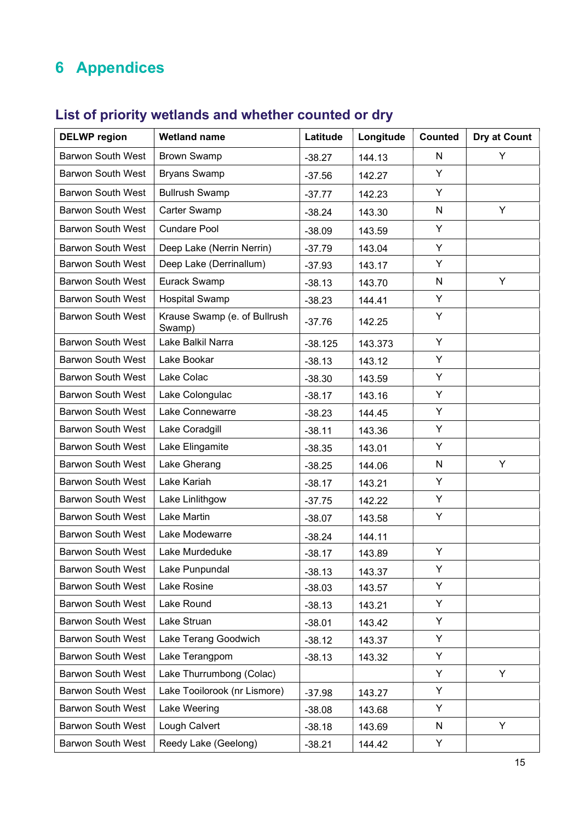## 6 Appendices

| <b>DELWP</b> region      | <b>Wetland name</b>                    | Latitude  | Longitude | <b>Counted</b> | <b>Dry at Count</b> |
|--------------------------|----------------------------------------|-----------|-----------|----------------|---------------------|
| <b>Barwon South West</b> | <b>Brown Swamp</b>                     | $-38.27$  | 144.13    | N              | Y                   |
| <b>Barwon South West</b> | <b>Bryans Swamp</b>                    | $-37.56$  | 142.27    | Y              |                     |
| <b>Barwon South West</b> | <b>Bullrush Swamp</b>                  | $-37.77$  | 142.23    | Y              |                     |
| <b>Barwon South West</b> | Carter Swamp                           | $-38.24$  | 143.30    | $\mathsf{N}$   | Y                   |
| Barwon South West        | <b>Cundare Pool</b>                    | $-38.09$  | 143.59    | Y              |                     |
| <b>Barwon South West</b> | Deep Lake (Nerrin Nerrin)              | $-37.79$  | 143.04    | Y              |                     |
| <b>Barwon South West</b> | Deep Lake (Derrinallum)                | $-37.93$  | 143.17    | Y              |                     |
| <b>Barwon South West</b> | Eurack Swamp                           | $-38.13$  | 143.70    | N              | Y                   |
| <b>Barwon South West</b> | <b>Hospital Swamp</b>                  | $-38.23$  | 144.41    | Y              |                     |
| <b>Barwon South West</b> | Krause Swamp (e. of Bullrush<br>Swamp) | $-37.76$  | 142.25    | Υ              |                     |
| <b>Barwon South West</b> | Lake Balkil Narra                      | $-38.125$ | 143.373   | Y              |                     |
| <b>Barwon South West</b> | Lake Bookar                            | $-38.13$  | 143.12    | Y              |                     |
| <b>Barwon South West</b> | Lake Colac                             | $-38.30$  | 143.59    | Y              |                     |
| <b>Barwon South West</b> | Lake Colongulac                        | $-38.17$  | 143.16    | Y              |                     |
| <b>Barwon South West</b> | Lake Connewarre                        | $-38.23$  | 144.45    | Y              |                     |
| <b>Barwon South West</b> | Lake Coradgill                         | $-38.11$  | 143.36    | Y              |                     |
| <b>Barwon South West</b> | Lake Elingamite                        | $-38.35$  | 143.01    | Y              |                     |
| <b>Barwon South West</b> | Lake Gherang                           | $-38.25$  | 144.06    | $\mathsf{N}$   | Y                   |
| <b>Barwon South West</b> | Lake Kariah                            | $-38.17$  | 143.21    | Y              |                     |
| <b>Barwon South West</b> | Lake Linlithgow                        | $-37.75$  | 142.22    | Y              |                     |
| <b>Barwon South West</b> | Lake Martin                            | $-38.07$  | 143.58    | Y              |                     |
| <b>Barwon South West</b> | Lake Modewarre                         | $-38.24$  | 144.11    |                |                     |
| <b>Barwon South West</b> | Lake Murdeduke                         | $-38.17$  | 143.89    | Y              |                     |
| <b>Barwon South West</b> | Lake Punpundal                         | $-38.13$  | 143.37    | Y              |                     |
| <b>Barwon South West</b> | Lake Rosine                            | $-38.03$  | 143.57    | Y              |                     |
| <b>Barwon South West</b> | Lake Round                             | $-38.13$  | 143.21    | Y              |                     |
| <b>Barwon South West</b> | Lake Struan                            | $-38.01$  | 143.42    | Y              |                     |
| <b>Barwon South West</b> | Lake Terang Goodwich                   | $-38.12$  | 143.37    | Y              |                     |
| <b>Barwon South West</b> | Lake Terangpom                         | $-38.13$  | 143.32    | Y              |                     |
| <b>Barwon South West</b> | Lake Thurrumbong (Colac)               |           |           | Y              | Y                   |
| <b>Barwon South West</b> | Lake Tooilorook (nr Lismore)           | $-37.98$  | 143.27    | Y              |                     |
| <b>Barwon South West</b> | Lake Weering                           | $-38.08$  | 143.68    | Y              |                     |
| <b>Barwon South West</b> | Lough Calvert                          | $-38.18$  | 143.69    | N              | Y                   |
| <b>Barwon South West</b> | Reedy Lake (Geelong)                   | $-38.21$  | 144.42    | Y              |                     |

## List of priority wetlands and whether counted or dry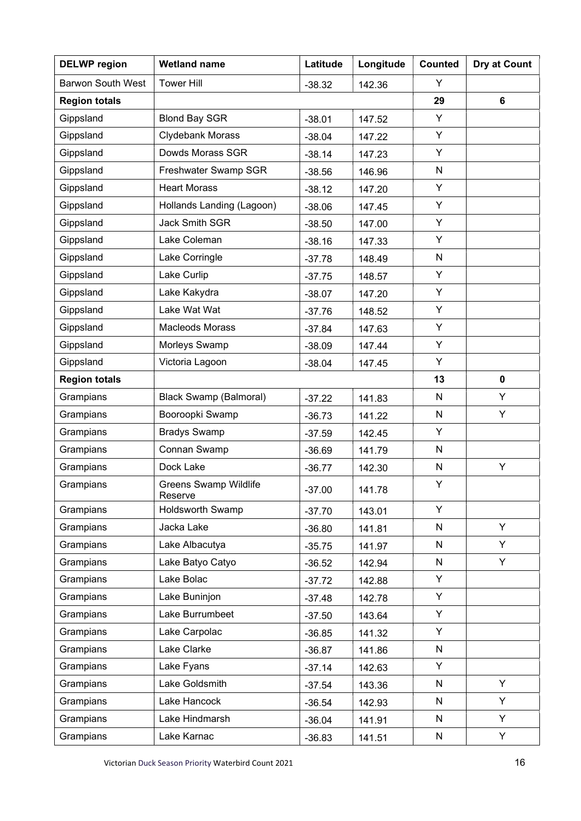| <b>DELWP</b> region      | <b>Wetland name</b>                     | Latitude | Longitude | <b>Counted</b> | Dry at Count |
|--------------------------|-----------------------------------------|----------|-----------|----------------|--------------|
| <b>Barwon South West</b> | <b>Tower Hill</b>                       | $-38.32$ | 142.36    | Y              |              |
| <b>Region totals</b>     |                                         |          |           | 29             | 6            |
| Gippsland                | <b>Blond Bay SGR</b>                    | $-38.01$ | 147.52    | Y              |              |
| Gippsland                | Clydebank Morass                        | $-38.04$ | 147.22    | Y              |              |
| Gippsland                | Dowds Morass SGR                        | $-38.14$ | 147.23    | Y              |              |
| Gippsland                | Freshwater Swamp SGR                    | $-38.56$ | 146.96    | N              |              |
| Gippsland                | <b>Heart Morass</b>                     | $-38.12$ | 147.20    | Y              |              |
| Gippsland                | Hollands Landing (Lagoon)               | $-38.06$ | 147.45    | Y              |              |
| Gippsland                | <b>Jack Smith SGR</b>                   | $-38.50$ | 147.00    | Y              |              |
| Gippsland                | Lake Coleman                            | $-38.16$ | 147.33    | Y              |              |
| Gippsland                | Lake Corringle                          | $-37.78$ | 148.49    | N              |              |
| Gippsland                | Lake Curlip                             | $-37.75$ | 148.57    | Y              |              |
| Gippsland                | Lake Kakydra                            | $-38.07$ | 147.20    | Y              |              |
| Gippsland                | Lake Wat Wat                            | $-37.76$ | 148.52    | Y              |              |
| Gippsland                | <b>Macleods Morass</b>                  | $-37.84$ | 147.63    | Y              |              |
| Gippsland                | Morleys Swamp                           | $-38.09$ | 147.44    | Y              |              |
| Gippsland                | Victoria Lagoon                         | $-38.04$ | 147.45    | Y              |              |
| <b>Region totals</b>     |                                         |          |           | 13             | $\mathbf 0$  |
| Grampians                | <b>Black Swamp (Balmoral)</b>           | $-37.22$ | 141.83    | $\mathsf{N}$   | Y            |
| Grampians                | Booroopki Swamp                         | $-36.73$ | 141.22    | N              | Y            |
| Grampians                | <b>Bradys Swamp</b>                     | $-37.59$ | 142.45    | Y              |              |
| Grampians                | Connan Swamp                            | $-36.69$ | 141.79    | N              |              |
| Grampians                | Dock Lake                               | $-36.77$ | 142.30    | N              | Y            |
| Grampians                | <b>Greens Swamp Wildlife</b><br>Reserve | 37.00    | 141.78    | Y              |              |
| Grampians                | Holdsworth Swamp                        | $-37.70$ | 143.01    | Y              |              |
| Grampians                | Jacka Lake                              | $-36.80$ | 141.81    | N              | Y            |
| Grampians                | Lake Albacutya                          | $-35.75$ | 141.97    | N              | Y            |
| Grampians                | Lake Batyo Catyo                        | $-36.52$ | 142.94    | N              | Y            |
| Grampians                | Lake Bolac                              | $-37.72$ | 142.88    | Y              |              |
| Grampians                | Lake Buninjon                           | $-37.48$ | 142.78    | Y              |              |
| Grampians                | Lake Burrumbeet                         | $-37.50$ | 143.64    | Y              |              |
| Grampians                | Lake Carpolac                           | $-36.85$ | 141.32    | Y              |              |
| Grampians                | Lake Clarke                             | $-36.87$ | 141.86    | N              |              |
| Grampians                | Lake Fyans                              | $-37.14$ | 142.63    | Y              |              |
| Grampians                | Lake Goldsmith                          | $-37.54$ | 143.36    | N              | Y            |
| Grampians                | Lake Hancock                            | $-36.54$ | 142.93    | N              | Y            |
| Grampians                | Lake Hindmarsh                          | $-36.04$ | 141.91    | N              | Y            |
| Grampians                | Lake Karnac                             | $-36.83$ | 141.51    | N              | Y.           |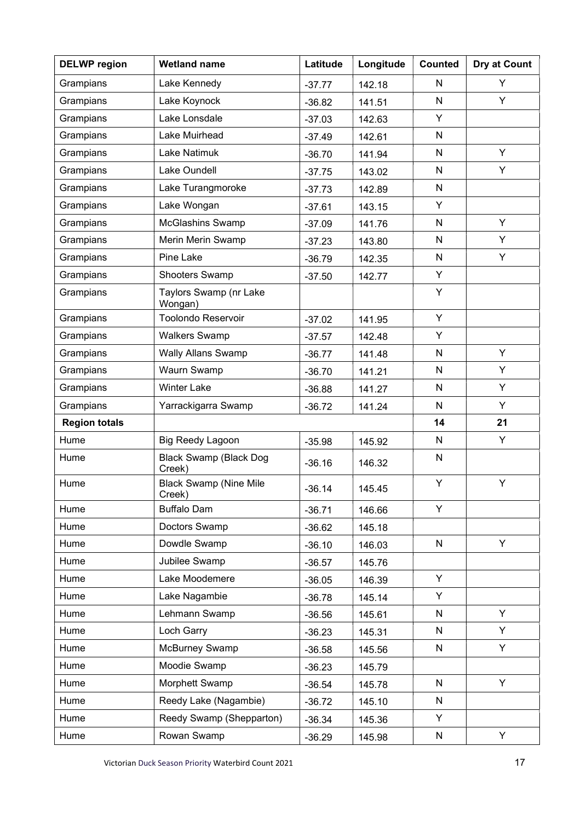| <b>DELWP</b> region  | <b>Wetland name</b>                     | Latitude | Longitude | <b>Counted</b> | Dry at Count |
|----------------------|-----------------------------------------|----------|-----------|----------------|--------------|
| Grampians            | Lake Kennedy                            | $-37.77$ | 142.18    | N              | Y            |
| Grampians            | Lake Koynock                            | $-36.82$ | 141.51    | N              | Y            |
| Grampians            | Lake Lonsdale                           | $-37.03$ | 142.63    | Y              |              |
| Grampians            | Lake Muirhead                           | $-37.49$ | 142.61    | N              |              |
| Grampians            | Lake Natimuk                            | $-36.70$ | 141.94    | N              | Y            |
| Grampians            | Lake Oundell                            | $-37.75$ | 143.02    | N              | Y            |
| Grampians            | Lake Turangmoroke                       | $-37.73$ | 142.89    | N              |              |
| Grampians            | Lake Wongan                             | $-37.61$ | 143.15    | Y              |              |
| Grampians            | <b>McGlashins Swamp</b>                 | $-37.09$ | 141.76    | N              | Y            |
| Grampians            | Merin Merin Swamp                       | $-37.23$ | 143.80    | N              | Y            |
| Grampians            | Pine Lake                               | $-36.79$ | 142.35    | N              | Y            |
| Grampians            | Shooters Swamp                          | $-37.50$ | 142.77    | Y              |              |
| Grampians            | Taylors Swamp (nr Lake<br>Wongan)       |          |           | Υ              |              |
| Grampians            | <b>Toolondo Reservoir</b>               | $-37.02$ | 141.95    | Y              |              |
| Grampians            | <b>Walkers Swamp</b>                    | $-37.57$ | 142.48    | Y              |              |
| Grampians            | <b>Wally Allans Swamp</b>               | $-36.77$ | 141.48    | N              | Y            |
| Grampians            | Waurn Swamp                             | $-36.70$ | 141.21    | N              | Y            |
| Grampians            | <b>Winter Lake</b>                      | $-36.88$ | 141.27    | ${\sf N}$      | Y            |
| Grampians            | Yarrackigarra Swamp                     | $-36.72$ | 141.24    | N              | Y            |
| <b>Region totals</b> |                                         |          |           | 14             | 21           |
| Hume                 | <b>Big Reedy Lagoon</b>                 | $-35.98$ | 145.92    | N              | Y            |
| Hume                 | <b>Black Swamp (Black Dog</b><br>Creek) | $-36.16$ | 146.32    | N              |              |
| Hume                 | <b>Black Swamp (Nine Mile</b><br>Creek) | $-36.14$ | 145.45    | Y              | Y            |
| Hume                 | <b>Buffalo Dam</b>                      | $-36.71$ | 146.66    | Y              |              |
| Hume                 | Doctors Swamp                           | $-36.62$ | 145.18    |                |              |
| Hume                 | Dowdle Swamp                            | $-36.10$ | 146.03    | N              | Y.           |
| Hume                 | Jubilee Swamp                           | $-36.57$ | 145.76    |                |              |
| Hume                 | Lake Moodemere                          | $-36.05$ | 146.39    | Y              |              |
| Hume                 | Lake Nagambie                           | $-36.78$ | 145.14    | Y              |              |
| Hume                 | Lehmann Swamp                           | $-36.56$ | 145.61    | N              | Y            |
| Hume                 | Loch Garry                              | $-36.23$ | 145.31    | N              | Y            |
| Hume                 | McBurney Swamp                          | $-36.58$ | 145.56    | N              | Y.           |
| Hume                 | Moodie Swamp                            | $-36.23$ | 145.79    |                |              |
| Hume                 | Morphett Swamp                          | $-36.54$ | 145.78    | N              | Y            |
| Hume                 | Reedy Lake (Nagambie)                   | $-36.72$ | 145.10    | N              |              |
| Hume                 | Reedy Swamp (Shepparton)                | $-36.34$ | 145.36    | Y              |              |
| Hume                 | Rowan Swamp                             | $-36.29$ | 145.98    | N              | Y.           |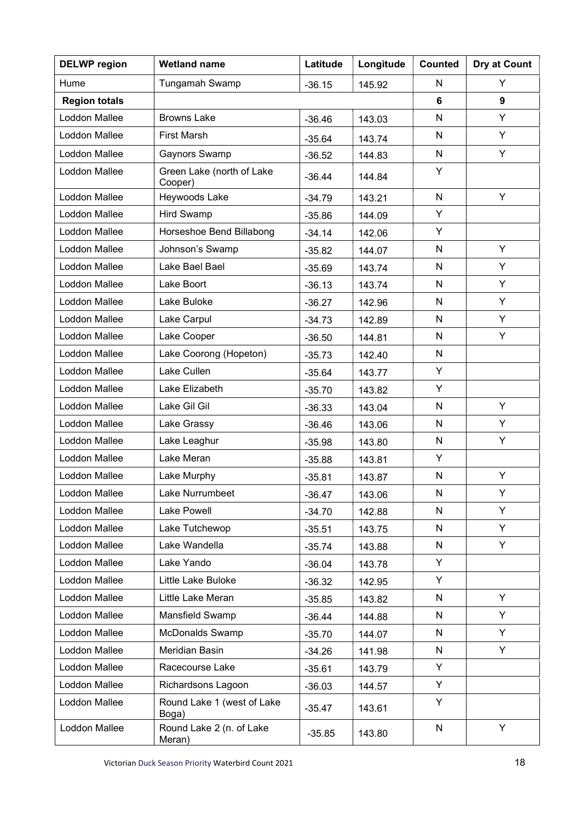| <b>DELWP</b> region  | <b>Wetland name</b>                  | Latitude | Longitude | <b>Counted</b> | Dry at Count |
|----------------------|--------------------------------------|----------|-----------|----------------|--------------|
| Hume                 | Tungamah Swamp                       | $-36.15$ | 145.92    | N              | Y            |
| <b>Region totals</b> |                                      |          |           | 6              | 9            |
| Loddon Mallee        | <b>Browns Lake</b>                   | $-36.46$ | 143.03    | N              | Y            |
| Loddon Mallee        | <b>First Marsh</b>                   | $-35.64$ | 143.74    | N              | Y            |
| Loddon Mallee        | Gaynors Swamp                        | $-36.52$ | 144.83    | N              | Y            |
| Loddon Mallee        | Green Lake (north of Lake<br>Cooper) | $-36.44$ | 144.84    | Υ              |              |
| Loddon Mallee        | Heywoods Lake                        | $-34.79$ | 143.21    | N              | Y            |
| Loddon Mallee        | <b>Hird Swamp</b>                    | $-35.86$ | 144.09    | Y              |              |
| Loddon Mallee        | Horseshoe Bend Billabong             | $-34.14$ | 142.06    | Y              |              |
| Loddon Mallee        | Johnson's Swamp                      | $-35.82$ | 144.07    | N              | Y            |
| Loddon Mallee        | Lake Bael Bael                       | $-35.69$ | 143.74    | N              | Y            |
| Loddon Mallee        | Lake Boort                           | $-36.13$ | 143.74    | N              | Y            |
| Loddon Mallee        | Lake Buloke                          | $-36.27$ | 142.96    | N              | Y            |
| Loddon Mallee        | Lake Carpul                          | $-34.73$ | 142.89    | N              | Y            |
| Loddon Mallee        | Lake Cooper                          | $-36.50$ | 144.81    | N              | Y            |
| Loddon Mallee        | Lake Coorong (Hopeton)               | $-35.73$ | 142.40    | N              |              |
| Loddon Mallee        | Lake Cullen                          | $-35.64$ | 143.77    | Y              |              |
| Loddon Mallee        | Lake Elizabeth                       | $-35.70$ | 143.82    | Y              |              |
| Loddon Mallee        | Lake Gil Gil                         | $-36.33$ | 143.04    | N              | Y            |
| Loddon Mallee        | Lake Grassy                          | $-36.46$ | 143.06    | N              | Y            |
| <b>Loddon Mallee</b> | Lake Leaghur                         | $-35.98$ | 143.80    | N              | Y            |
| Loddon Mallee        | Lake Meran                           | $-35.88$ | 143.81    | Y              |              |
| Loddon Mallee        | Lake Murphy                          | $-35.81$ | 143.87    | N              | Y            |
| Loddon Mallee        | Lake Nurrumbeet                      | $-36.47$ | 143.06    | N              | Y            |
| Loddon Mallee        | Lake Powell                          | $-34.70$ | 142.88    | N              | Y            |
| Loddon Mallee        | Lake Tutchewop                       | $-35.51$ | 143.75    | N              | Y            |
| Loddon Mallee        | Lake Wandella                        | $-35.74$ | 143.88    | N              | Y            |
| <b>Loddon Mallee</b> | Lake Yando                           | $-36.04$ | 143.78    | Y              |              |
| Loddon Mallee        | Little Lake Buloke                   | $-36.32$ | 142.95    | Y              |              |
| Loddon Mallee        | Little Lake Meran                    | $-35.85$ | 143.82    | N              | Y            |
| Loddon Mallee        | Mansfield Swamp                      | $-36.44$ | 144.88    | N              | Y            |
| Loddon Mallee        | <b>McDonalds Swamp</b>               | $-35.70$ | 144.07    | N              | Y            |
| Loddon Mallee        | Meridian Basin                       | $-34.26$ | 141.98    | N              | Y            |
| Loddon Mallee        | Racecourse Lake                      | $-35.61$ | 143.79    | Y              |              |
| Loddon Mallee        | Richardsons Lagoon                   | $-36.03$ | 144.57    | Y              |              |
| Loddon Mallee        | Round Lake 1 (west of Lake<br>Boga)  | $-35.47$ | 143.61    | Y              |              |
| Loddon Mallee        | Round Lake 2 (n. of Lake<br>Meran)   | $-35.85$ | 143.80    | N              | Y            |